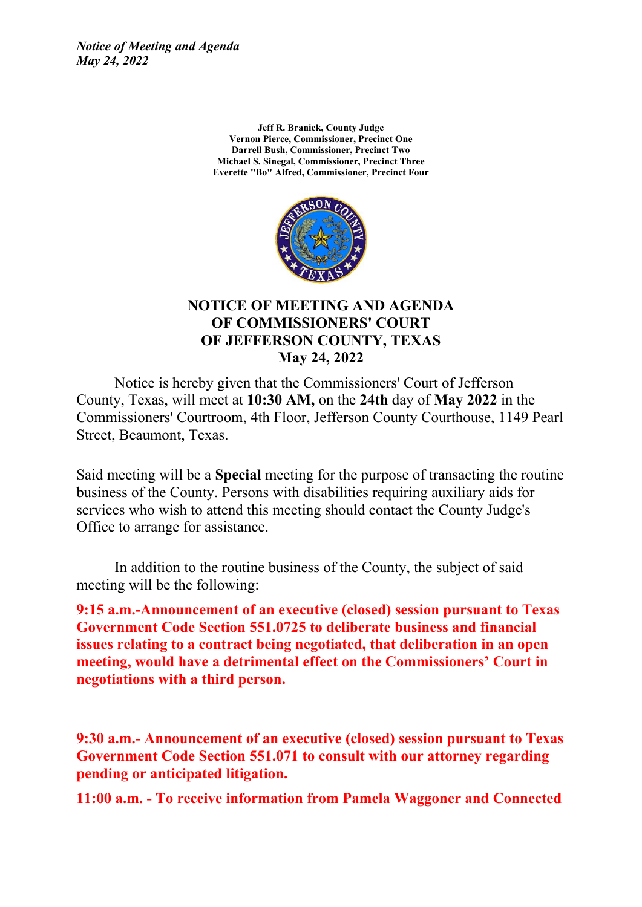> **Jeff R. Branick, County Judge Vernon Pierce, Commissioner, Precinct One Darrell Bush, Commissioner, Precinct Two Michael S. Sinegal, Commissioner, Precinct Three Everette "Bo" Alfred, Commissioner, Precinct Four**



### **NOTICE OF MEETING AND AGENDA OF COMMISSIONERS' COURT OF JEFFERSON COUNTY, TEXAS May 24, 2022**

Notice is hereby given that the Commissioners' Court of Jefferson County, Texas, will meet at **10:30 AM,** on the **24th** day of **May 2022** in the Commissioners' Courtroom, 4th Floor, Jefferson County Courthouse, 1149 Pearl Street, Beaumont, Texas.

Said meeting will be a **Special** meeting for the purpose of transacting the routine business of the County. Persons with disabilities requiring auxiliary aids for services who wish to attend this meeting should contact the County Judge's Office to arrange for assistance.

In addition to the routine business of the County, the subject of said meeting will be the following:

**9:15 a.m.-Announcement of an executive (closed) session pursuant to Texas Government Code Section 551.0725 to deliberate business and financial issues relating to a contract being negotiated, that deliberation in an open meeting, would have a detrimental effect on the Commissioners' Court in negotiations with a third person.**

**9:30 a.m.- Announcement of an executive (closed) session pursuant to Texas Government Code Section 551.071 to consult with our attorney regarding pending or anticipated litigation.**

**11:00 a.m. - To receive information from Pamela Waggoner and Connected**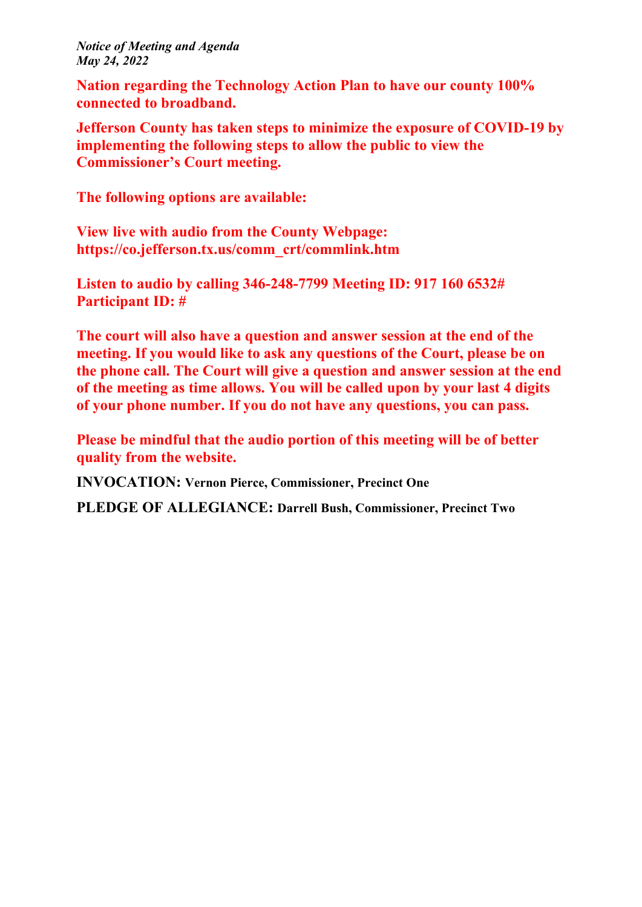**Nation regarding the Technology Action Plan to have our county 100% connected to broadband.**

**Jefferson County has taken steps to minimize the exposure of COVID-19 by implementing the following steps to allow the public to view the Commissioner's Court meeting.**

**The following options are available:**

**View live with audio from the County Webpage: https://co.jefferson.tx.us/comm\_crt/commlink.htm**

**Listen to audio by calling 346-248-7799 Meeting ID: 917 160 6532# Participant ID: #**

**The court will also have a question and answer session at the end of the meeting. If you would like to ask any questions of the Court, please be on the phone call. The Court will give a question and answer session at the end of the meeting as time allows. You will be called upon by your last 4 digits of your phone number. If you do not have any questions, you can pass.**

**Please be mindful that the audio portion of this meeting will be of better quality from the website.**

**INVOCATION: Vernon Pierce, Commissioner, Precinct One**

**PLEDGE OF ALLEGIANCE: Darrell Bush, Commissioner, Precinct Two**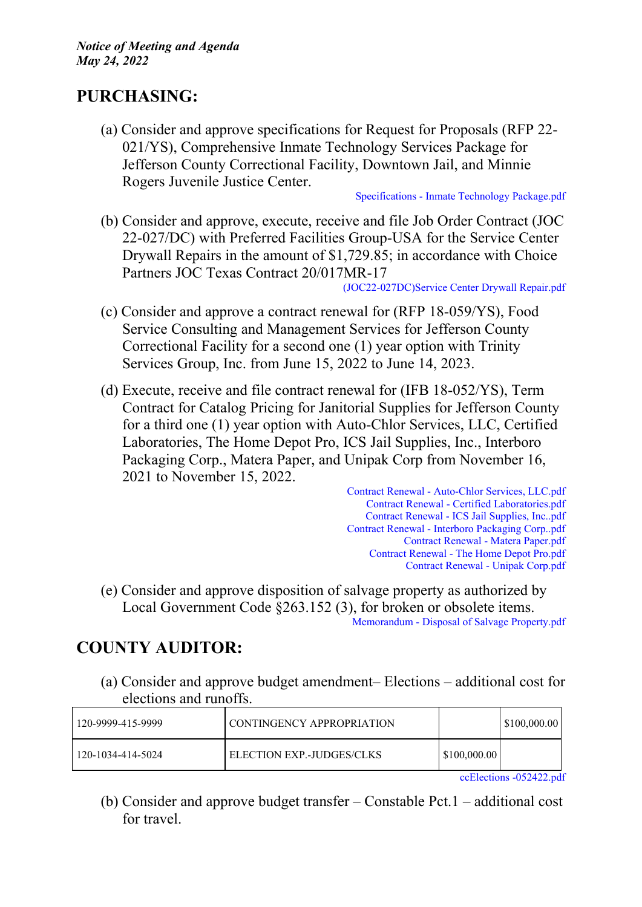## **PURCHASING:**

(a) Consider and approve specifications for Request for Proposals (RFP 22- 021/YS), Comprehensive Inmate Technology Services Package for Jefferson County Correctional Facility, Downtown Jail, and Minnie Rogers Juvenile Justice Center.

[Specifications](http://co.jefferson.tx.us/agenda/agendas_pl/20220524_693/Attachments/Specifications%20-%20Inmate%20Technology%20Package.pdf) - Inmate Technology Package.pdf

(b) Consider and approve, execute, receive and file Job Order Contract (JOC 22-027/DC) with Preferred Facilities Group-USA for the Service Center Drywall Repairs in the amount of \$1,729.85; in accordance with Choice Partners JOC Texas Contract 20/017MR-17

[\(JOC22-027DC\)Service](http://co.jefferson.tx.us/agenda/agendas_pl/20220524_693/Attachments/%28JOC22-027DC%29Service%20Center%20Drywall%20Repair.pdf) Center Drywall Repair.pdf

- (c) Consider and approve a contract renewal for (RFP 18-059/YS), Food Service Consulting and Management Services for Jefferson County Correctional Facility for a second one (1) year option with Trinity Services Group, Inc. from June 15, 2022 to June 14, 2023.
- (d) Execute, receive and file contract renewal for (IFB 18-052/YS), Term Contract for Catalog Pricing for Janitorial Supplies for Jefferson County for a third one (1) year option with Auto-Chlor Services, LLC, Certified Laboratories, The Home Depot Pro, ICS Jail Supplies, Inc., Interboro Packaging Corp., Matera Paper, and Unipak Corp from November 16, 2021 to November 15, 2022.

Contract Renewal - [Auto-Chlor](http://co.jefferson.tx.us/agenda/agendas_pl/20220524_693/Attachments/Contract%20Renewal%20-%20Auto-Chlor%20Services%2C%20LLC.pdf) Services, LLC.pdf Contract Renewal - Certified [Laboratories.pdf](http://co.jefferson.tx.us/agenda/agendas_pl/20220524_693/Attachments/Contract%20Renewal%20-%20Certified%20Laboratories.pdf) Contract Renewal - ICS Jail [Supplies,](http://co.jefferson.tx.us/agenda/agendas_pl/20220524_693/Attachments/Contract%20Renewal%20-%20ICS%20Jail%20Supplies%2C%20Inc..pdf) Inc..pdf Contract Renewal - Interboro [Packaging](http://co.jefferson.tx.us/agenda/agendas_pl/20220524_693/Attachments/Contract%20Renewal%20-%20Interboro%20Packaging%20Corp..pdf) Corp..pdf Contract Renewal - Matera [Paper.pdf](http://co.jefferson.tx.us/agenda/agendas_pl/20220524_693/Attachments/Contract%20Renewal%20-%20Matera%20Paper.pdf) Contract [Renewal](http://co.jefferson.tx.us/agenda/agendas_pl/20220524_693/Attachments/Contract%20Renewal%20-%20The%20Home%20Depot%20Pro.pdf) - The Home Depot Pro.pdf Contract Renewal - Unipak [Corp.pdf](http://co.jefferson.tx.us/agenda/agendas_pl/20220524_693/Attachments/Contract%20Renewal%20-%20Unipak%20Corp.pdf)

(e) Consider and approve disposition of salvage property as authorized by Local Government Code §263.152 (3), for broken or obsolete items. [Memorandum](http://co.jefferson.tx.us/agenda/agendas_pl/20220524_693/Attachments/Memorandum%20-%20Disposal%20of%20Salvage%20Property.pdf) - Disposal of Salvage Property.pdf

## **COUNTY AUDITOR:**

(a) Consider and approve budget amendment– Elections – additional cost for elections and runoffs.

| 120-9999-415-9999 | l CONTINGENCY APPROPRIATION |              | \$100,000.00 |
|-------------------|-----------------------------|--------------|--------------|
| 120-1034-414-5024 | ELECTION EXP.-JUDGES/CLKS   | \$100,000.00 |              |

ccElections [-052422.pdf](http://co.jefferson.tx.us/agenda/agendas_pl/20220524_693/Attachments/ccElections%20-052422.pdf)

(b) Consider and approve budget transfer – Constable Pct.1 – additional cost for travel.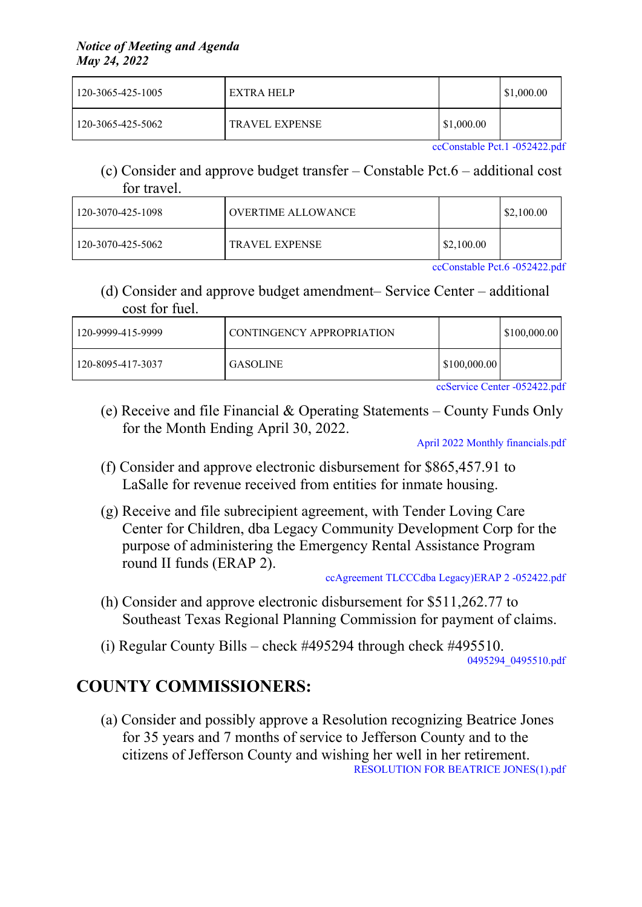| 120-3065-425-1005 | EXTRA HELP            |            | $\$\,1,000.00$ |
|-------------------|-----------------------|------------|----------------|
| 120-3065-425-5062 | <b>TRAVEL EXPENSE</b> | \$1,000.00 |                |

[ccConstable](http://co.jefferson.tx.us/agenda/agendas_pl/20220524_693/Attachments/ccConstable%20Pct.1%20-052422.pdf) Pct.1 -052422.pdf

(c) Consider and approve budget transfer – Constable Pct.6 – additional cost for travel.

| $120 - 3070 - 425 - 1098$ | OVERTIME ALLOWANCE |            | \$2,100.00 |
|---------------------------|--------------------|------------|------------|
| 120-3070-425-5062         | TRAVEL EXPENSE     | \$2,100.00 |            |

[ccConstable](http://co.jefferson.tx.us/agenda/agendas_pl/20220524_693/Attachments/ccConstable%20Pct.6%20-052422.pdf) Pct.6 -052422.pdf

(d) Consider and approve budget amendment– Service Center – additional cost for fuel.

| 120-9999-415-9999 | CONTINGENCY APPROPRIATION |              | $\mid$ \$100,000.00 |
|-------------------|---------------------------|--------------|---------------------|
| 120-8095-417-3037 | GASOLINE                  | \$100,000.00 |                     |

ccService Center [-052422.pdf](http://co.jefferson.tx.us/agenda/agendas_pl/20220524_693/Attachments/ccService%20Center%20-052422.pdf)

(e) Receive and file Financial & Operating Statements – County Funds Only for the Month Ending April 30, 2022.

April 2022 Monthly [financials.pdf](http://co.jefferson.tx.us/agenda/agendas_pl/20220524_693/Attachments/April%202022%20Monthly%20financials.pdf)

- (f) Consider and approve electronic disbursement for \$865,457.91 to LaSalle for revenue received from entities for inmate housing.
- (g) Receive and file subrecipient agreement, with Tender Loving Care Center for Children, dba Legacy Community Development Corp for the purpose of administering the Emergency Rental Assistance Program round II funds (ERAP 2).

ccAgreement TLCCCdba [Legacy\)ERAP](http://co.jefferson.tx.us/agenda/agendas_pl/20220524_693/Attachments/ccAgreement%20TLCCCdba%20Legacy%29ERAP%202%20-052422.pdf) 2 -052422.pdf

- (h) Consider and approve electronic disbursement for \$511,262.77 to Southeast Texas Regional Planning Commission for payment of claims.
- (i) Regular County Bills check #495294 through check #495510.

[0495294\\_0495510.pdf](http://co.jefferson.tx.us/agenda/agendas_pl/20220524_693/Attachments/0495294_0495510.pdf)

# **COUNTY COMMISSIONERS:**

(a) Consider and possibly approve a Resolution recognizing Beatrice Jones for 35 years and 7 months of service to Jefferson County and to the citizens of Jefferson County and wishing her well in her retirement. [RESOLUTION](http://co.jefferson.tx.us/agenda/agendas_pl/20220524_693/Attachments/RESOLUTION%20FOR%20BEATRICE%20JONES%281%29.pdf) FOR BEATRICE JONES(1).pdf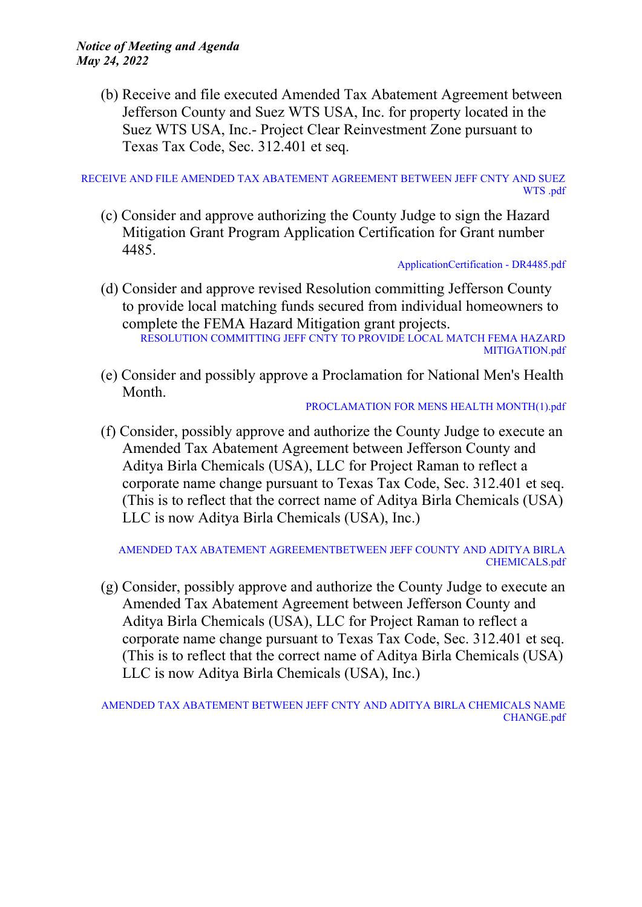(b) Receive and file executed Amended Tax Abatement Agreement between Jefferson County and Suez WTS USA, Inc. for property located in the Suez WTS USA, Inc.- Project Clear Reinvestment Zone pursuant to Texas Tax Code, Sec. 312.401 et seq.

RECEIVE AND FILE AMENDED TAX ABATEMENT [AGREEMENT](http://co.jefferson.tx.us/agenda/agendas_pl/20220524_693/Attachments/RECEIVE%20AND%20FILE%20AMENDED%20TAX%20ABATEMENT%20AGREEMENT%20BETWEEN%20JEFF%20CNTY%20AND%20SUEZ%20WTS%20.pdf) BETWEEN JEFF CNTY AND SUEZ [WTS](http://co.jefferson.tx.us/agenda/agendas_pl/20220524_693/Attachments/RECEIVE%20AND%20FILE%20AMENDED%20TAX%20ABATEMENT%20AGREEMENT%20BETWEEN%20JEFF%20CNTY%20AND%20SUEZ%20WTS%20.pdf) .pdf

(c) Consider and approve authorizing the County Judge to sign the Hazard Mitigation Grant Program Application Certification for Grant number 4485.

[ApplicationCertification](http://co.jefferson.tx.us/agenda/agendas_pl/20220524_693/Attachments/ApplicationCertification%20-%20DR4485.pdf) - DR4485.pdf

- (d) Consider and approve revised Resolution committing Jefferson County to provide local matching funds secured from individual homeowners to complete the FEMA Hazard Mitigation grant projects. RESOLUTION [COMMITTING](http://co.jefferson.tx.us/agenda/agendas_pl/20220524_693/Attachments/RESOLUTION%20COMMITTING%20JEFF%20CNTY%20TO%20PROVIDE%20LOCAL%20MATCH%20FEMA%20HAZARD%20MITIGATION.pdf) JEFF CNTY TO PROVIDE LOCAL MATCH FEMA HAZARD [MITIGATION.pdf](http://co.jefferson.tx.us/agenda/agendas_pl/20220524_693/Attachments/RESOLUTION%20COMMITTING%20JEFF%20CNTY%20TO%20PROVIDE%20LOCAL%20MATCH%20FEMA%20HAZARD%20MITIGATION.pdf)
- (e) Consider and possibly approve a Proclamation for National Men's Health Month.

[PROCLAMATION](http://co.jefferson.tx.us/agenda/agendas_pl/20220524_693/Attachments/PROCLAMATION%20FOR%20MENS%20HEALTH%20MONTH%281%29.pdf) FOR MENS HEALTH MONTH(1).pdf

(f) Consider, possibly approve and authorize the County Judge to execute an Amended Tax Abatement Agreement between Jefferson County and Aditya Birla Chemicals (USA), LLC for Project Raman to reflect a corporate name change pursuant to Texas Tax Code, Sec. 312.401 et seq. (This is to reflect that the correct name of Aditya Birla Chemicals (USA) LLC is now Aditya Birla Chemicals (USA), Inc.)

AMENDED TAX ABATEMENT [AGREEMENTBETWEEN](http://co.jefferson.tx.us/agenda/agendas_pl/20220524_693/Attachments/AMENDED%20TAX%20ABATEMENT%20AGREEMENTBETWEEN%20JEFF%20COUNTY%20AND%20ADITYA%20BIRLA%20CHEMICALS.pdf) JEFF COUNTY AND ADITYA BIRLA [CHEMICALS.pdf](http://co.jefferson.tx.us/agenda/agendas_pl/20220524_693/Attachments/AMENDED%20TAX%20ABATEMENT%20AGREEMENTBETWEEN%20JEFF%20COUNTY%20AND%20ADITYA%20BIRLA%20CHEMICALS.pdf)

(g) Consider, possibly approve and authorize the County Judge to execute an Amended Tax Abatement Agreement between Jefferson County and Aditya Birla Chemicals (USA), LLC for Project Raman to reflect a corporate name change pursuant to Texas Tax Code, Sec. 312.401 et seq. (This is to reflect that the correct name of Aditya Birla Chemicals (USA) LLC is now Aditya Birla Chemicals (USA), Inc.)

AMENDED TAX [ABATEMENT](http://co.jefferson.tx.us/agenda/agendas_pl/20220524_693/Attachments/AMENDED%20TAX%20ABATEMENT%20BETWEEN%20JEFF%20CNTY%20AND%20ADITYA%20BIRLA%20CHEMICALS%20NAME%20CHANGE.pdf) BETWEEN JEFF CNTY AND ADITYA BIRLA CHEMICALS NAME [CHANGE.pdf](http://co.jefferson.tx.us/agenda/agendas_pl/20220524_693/Attachments/AMENDED%20TAX%20ABATEMENT%20BETWEEN%20JEFF%20CNTY%20AND%20ADITYA%20BIRLA%20CHEMICALS%20NAME%20CHANGE.pdf)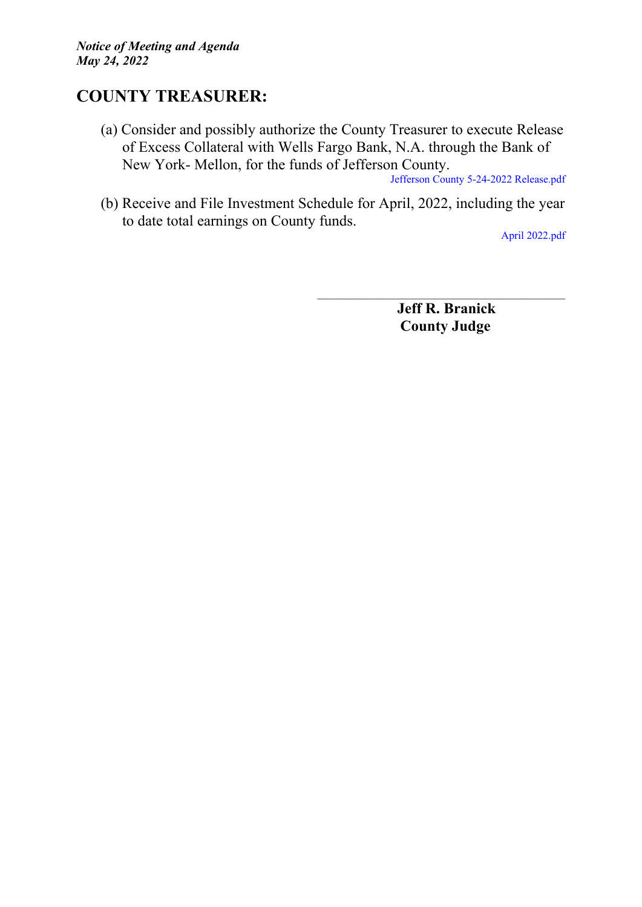## **COUNTY TREASURER:**

(a) Consider and possibly authorize the County Treasurer to execute Release of Excess Collateral with Wells Fargo Bank, N.A. through the Bank of New York- Mellon, for the funds of Jefferson County.

Jefferson County 5-24-2022 [Release.pdf](http://co.jefferson.tx.us/agenda/agendas_pl/20220524_693/Attachments/Jefferson%20County%205-24-2022%20Release.pdf)

(b) Receive and File Investment Schedule for April, 2022, including the year to date total earnings on County funds.

April [2022.pdf](http://co.jefferson.tx.us/agenda/agendas_pl/20220524_693/Attachments/April%202022.pdf)

**Jeff R. Branick County Judge**

\_\_\_\_\_\_\_\_\_\_\_\_\_\_\_\_\_\_\_\_\_\_\_\_\_\_\_\_\_\_\_\_\_\_\_\_\_\_\_\_\_\_\_\_\_\_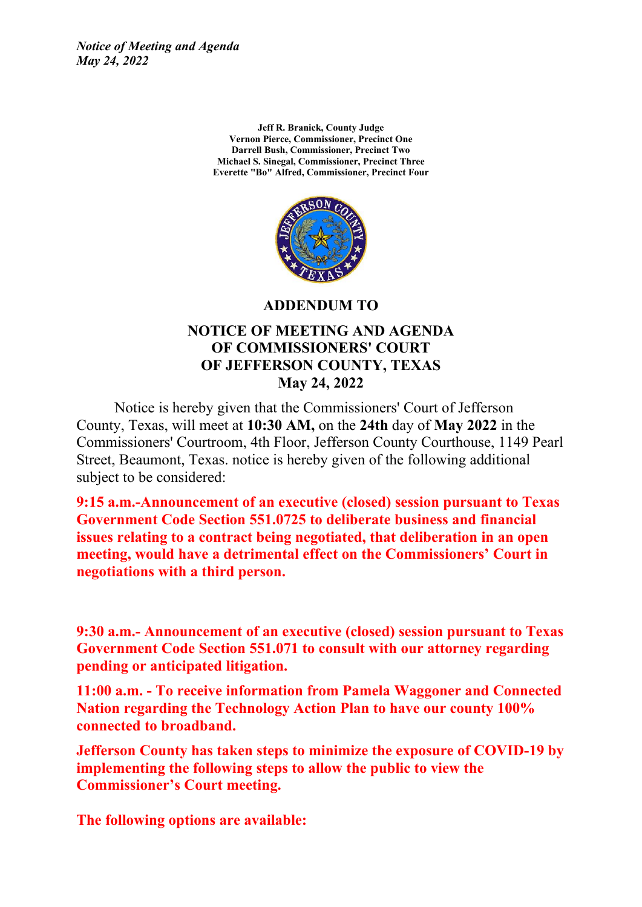> **Jeff R. Branick, County Judge Vernon Pierce, Commissioner, Precinct One Darrell Bush, Commissioner, Precinct Two Michael S. Sinegal, Commissioner, Precinct Three Everette "Bo" Alfred, Commissioner, Precinct Four**



**ADDENDUM TO**

#### **NOTICE OF MEETING AND AGENDA OF COMMISSIONERS' COURT OF JEFFERSON COUNTY, TEXAS May 24, 2022**

Notice is hereby given that the Commissioners' Court of Jefferson County, Texas, will meet at **10:30 AM,** on the **24th** day of **May 2022** in the Commissioners' Courtroom, 4th Floor, Jefferson County Courthouse, 1149 Pearl Street, Beaumont, Texas. notice is hereby given of the following additional subject to be considered:

**9:15 a.m.-Announcement of an executive (closed) session pursuant to Texas Government Code Section 551.0725 to deliberate business and financial issues relating to a contract being negotiated, that deliberation in an open meeting, would have a detrimental effect on the Commissioners' Court in negotiations with a third person.**

**9:30 a.m.- Announcement of an executive (closed) session pursuant to Texas Government Code Section 551.071 to consult with our attorney regarding pending or anticipated litigation.**

**11:00 a.m. - To receive information from Pamela Waggoner and Connected Nation regarding the Technology Action Plan to have our county 100% connected to broadband.**

**Jefferson County has taken steps to minimize the exposure of COVID-19 by implementing the following steps to allow the public to view the Commissioner's Court meeting.**

**The following options are available:**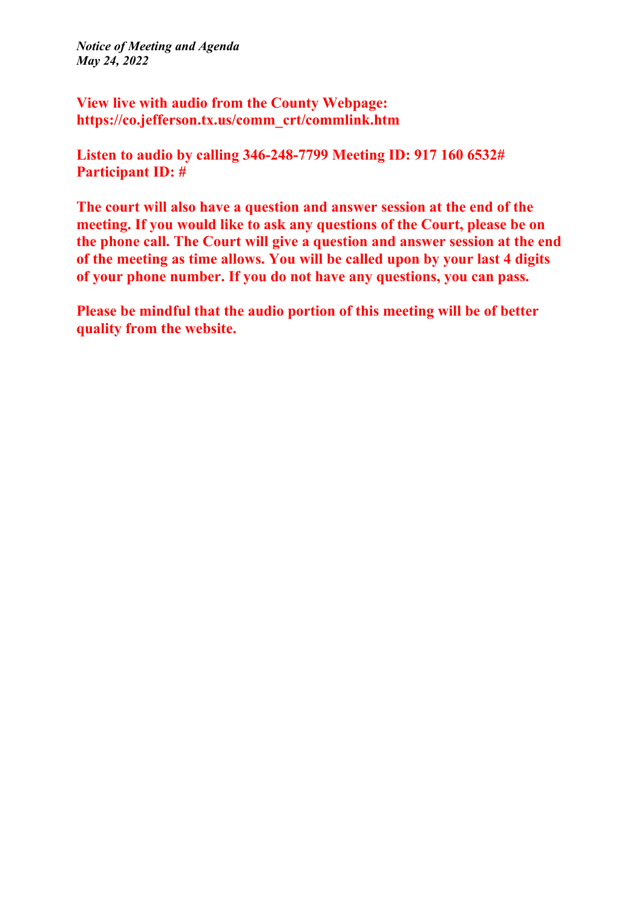**View live with audio from the County Webpage: https://co.jefferson.tx.us/comm\_crt/commlink.htm**

**Listen to audio by calling 346-248-7799 Meeting ID: 917 160 6532# Participant ID: #**

**The court will also have a question and answer session at the end of the meeting. If you would like to ask any questions of the Court, please be on the phone call. The Court will give a question and answer session at the end of the meeting as time allows. You will be called upon by your last 4 digits of your phone number. If you do not have any questions, you can pass.**

**Please be mindful that the audio portion of this meeting will be of better quality from the website.**